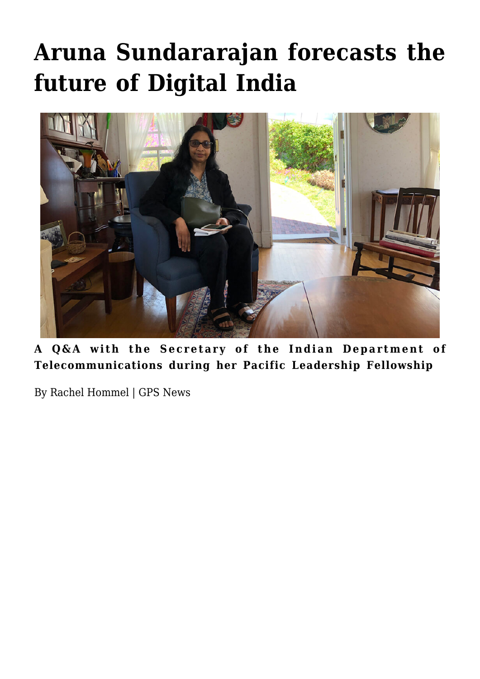# **[Aruna Sundararajan forecasts the](https://gpsnews.ucsd.edu/aruna-sundararajan-forecasts-future-of-digital-india/) [future of Digital India](https://gpsnews.ucsd.edu/aruna-sundararajan-forecasts-future-of-digital-india/)**



**A Q&A with the Secretary of the Indian Department of Telecommunications during her Pacific Leadership Fellowship**

By Rachel Hommel | GPS News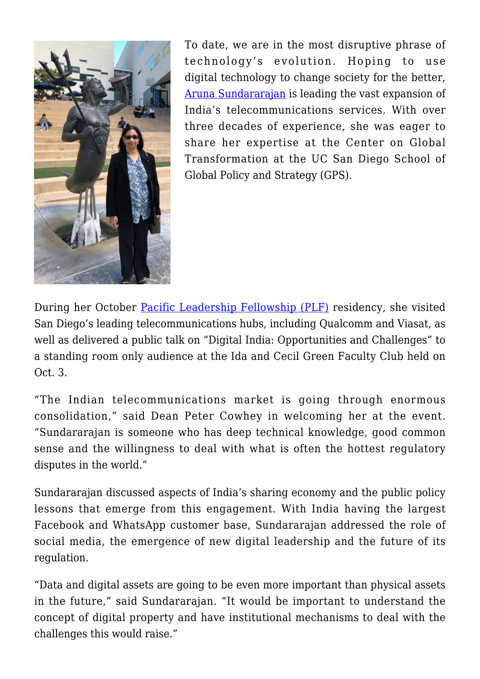

To date, we are in the most disruptive phrase of technology's evolution. Hoping to use digital technology to change society for the better, [Aruna Sundararajan](http://cgt.ucsd.edu/fellows/upcoming/sundararajan.html) is leading the vast expansion of India's telecommunications services. With over three decades of experience, she was eager to share her expertise at the Center on Global Transformation at the UC San Diego School of Global Policy and Strategy (GPS).

During her October [Pacific Leadership Fellowship \(PLF\)](http://cgt.ucsd.edu/fellows/index.html) residency, she visited San Diego's leading telecommunications hubs, including Qualcomm and Viasat, as well as delivered a public talk on "Digital India: Opportunities and Challenges" to a standing room only audience at the Ida and Cecil Green Faculty Club held on Oct. 3.

"The Indian telecommunications market is going through enormous consolidation," said Dean Peter Cowhey in welcoming her at the event. "Sundararajan is someone who has deep technical knowledge, good common sense and the willingness to deal with what is often the hottest regulatory disputes in the world."

Sundararajan discussed aspects of India's sharing economy and the public policy lessons that emerge from this engagement. With India having the largest Facebook and WhatsApp customer base, Sundararajan addressed the role of social media, the emergence of new digital leadership and the future of its regulation.

"Data and digital assets are going to be even more important than physical assets in the future," said Sundararajan. "It would be important to understand the concept of digital property and have institutional mechanisms to deal with the challenges this would raise."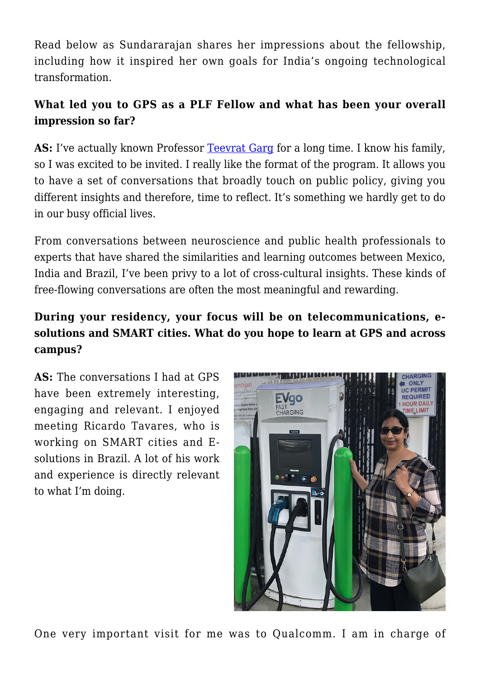Read below as Sundararajan shares her impressions about the fellowship, including how it inspired her own goals for India's ongoing technological transformation.

#### **What led you to GPS as a PLF Fellow and what has been your overall impression so far?**

AS: I've actually known Professor [Teevrat Garg](https://gps.ucsd.edu/faculty-directory/teevrat-garg.html) for a long time. I know his family, so I was excited to be invited. I really like the format of the program. It allows you to have a set of conversations that broadly touch on public policy, giving you different insights and therefore, time to reflect. It's something we hardly get to do in our busy official lives.

From conversations between neuroscience and public health professionals to experts that have shared the similarities and learning outcomes between Mexico, India and Brazil, I've been privy to a lot of cross-cultural insights. These kinds of free-flowing conversations are often the most meaningful and rewarding.

#### **During your residency, your focus will be on telecommunications, esolutions and SMART cities. What do you hope to learn at GPS and across campus?**

**AS:** The conversations I had at GPS have been extremely interesting, engaging and relevant. I enjoyed meeting Ricardo Tavares, who is working on SMART cities and Esolutions in Brazil. A lot of his work and experience is directly relevant to what I'm doing.



One very important visit for me was to Qualcomm. I am in charge of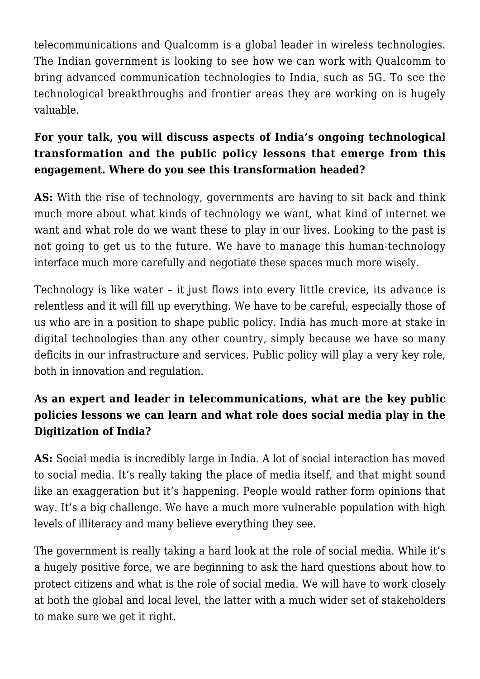telecommunications and Qualcomm is a global leader in wireless technologies. The Indian government is looking to see how we can work with Qualcomm to bring advanced communication technologies to India, such as 5G. To see the technological breakthroughs and frontier areas they are working on is hugely valuable.

### **For your talk, you will discuss aspects of India's ongoing technological transformation and the public policy lessons that emerge from this engagement. Where do you see this transformation headed?**

**AS:** With the rise of technology, governments are having to sit back and think much more about what kinds of technology we want, what kind of internet we want and what role do we want these to play in our lives. Looking to the past is not going to get us to the future. We have to manage this human-technology interface much more carefully and negotiate these spaces much more wisely.

Technology is like water – it just flows into every little crevice, its advance is relentless and it will fill up everything. We have to be careful, especially those of us who are in a position to shape public policy. India has much more at stake in digital technologies than any other country, simply because we have so many deficits in our infrastructure and services. Public policy will play a very key role, both in innovation and regulation.

## **As an expert and leader in telecommunications, what are the key public policies lessons we can learn and what role does social media play in the Digitization of India?**

**AS:** Social media is incredibly large in India. A lot of social interaction has moved to social media. It's really taking the place of media itself, and that might sound like an exaggeration but it's happening. People would rather form opinions that way. It's a big challenge. We have a much more vulnerable population with high levels of illiteracy and many believe everything they see.

The government is really taking a hard look at the role of social media. While it's a hugely positive force, we are beginning to ask the hard questions about how to protect citizens and what is the role of social media. We will have to work closely at both the global and local level, the latter with a much wider set of stakeholders to make sure we get it right.